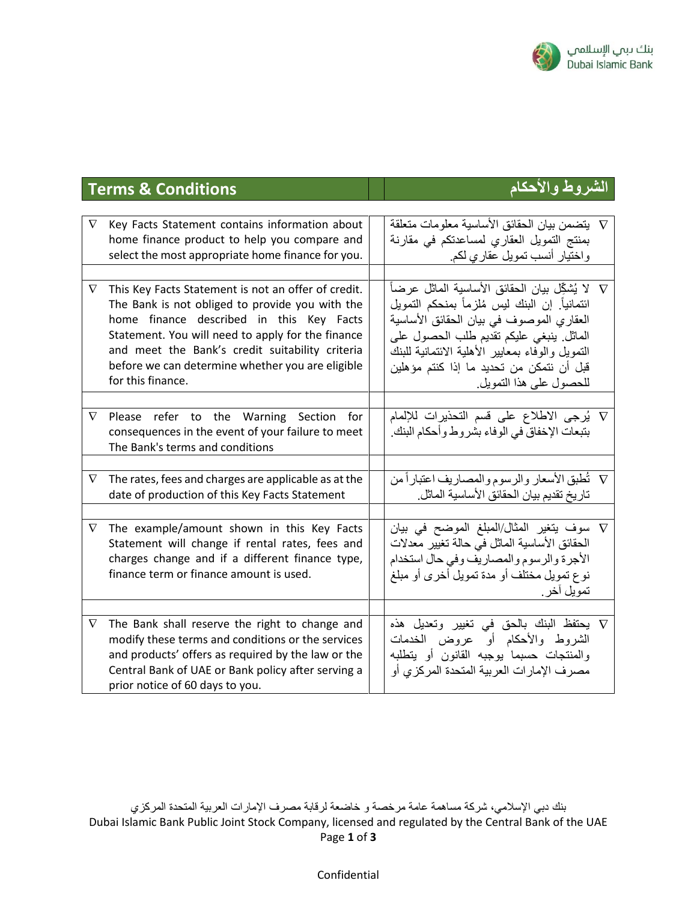

## **الشروط واألحكام Conditions & Terms**

| $\nabla$ | Key Facts Statement contains information about<br>home finance product to help you compare and<br>select the most appropriate home finance for you.                                                                                                                                                                                 | V   يتضمن بيان الحقائق الأساسية معلومات متعلقة<br>بمنتج التمويل العقاري لمساعدتكم في مقارنة<br>واختيار أنسب تمويل عقاري لكم.                                                                                                                                     |  |
|----------|-------------------------------------------------------------------------------------------------------------------------------------------------------------------------------------------------------------------------------------------------------------------------------------------------------------------------------------|------------------------------------------------------------------------------------------------------------------------------------------------------------------------------------------------------------------------------------------------------------------|--|
|          |                                                                                                                                                                                                                                                                                                                                     |                                                                                                                                                                                                                                                                  |  |
| $\nabla$ | This Key Facts Statement is not an offer of credit.<br>The Bank is not obliged to provide you with the<br>home finance described in this Key Facts<br>Statement. You will need to apply for the finance<br>and meet the Bank's credit suitability criteria<br>before we can determine whether you are eligible<br>for this finance. | ائتمانياً. إن البنك ليس مُلزماً بمنحكم التمويل<br>العقاري الموصوف في بيان الحقائق الأساسية<br>الماثل ينبغي عليكم تقديم طلب الحصول على<br>التمويل والوفاء بمعابير الأهلية الائتمانية للبنك<br>قبل أن نتمكن من تحديد ما إذا كنتم مؤهلين<br>للحصول على هذا التمويل. |  |
|          |                                                                                                                                                                                                                                                                                                                                     |                                                                                                                                                                                                                                                                  |  |
| $\nabla$ | Please refer to the Warning Section for<br>consequences in the event of your failure to meet<br>The Bank's terms and conditions                                                                                                                                                                                                     | √ يُرجى الاطلاع على قسم التحذيرات للإلمام<br>بتبعات الإخفاق في الوفاء بشروط وأحكام البنك.                                                                                                                                                                        |  |
|          |                                                                                                                                                                                                                                                                                                                                     |                                                                                                                                                                                                                                                                  |  |
| $\nabla$ | The rates, fees and charges are applicable as at the<br>date of production of this Key Facts Statement                                                                                                                                                                                                                              | V    تُطبق الأسعار والرسوم والمصاريف اعتباراً من<br>تاريخ تقديم بيان الحقائق الأساسية الماثل.                                                                                                                                                                    |  |
|          |                                                                                                                                                                                                                                                                                                                                     |                                                                                                                                                                                                                                                                  |  |
| $\nabla$ | The example/amount shown in this Key Facts<br>Statement will change if rental rates, fees and<br>charges change and if a different finance type,<br>finance term or finance amount is used.                                                                                                                                         | V سوف يتغير المثال/المبلغ الموضح في بيان<br>الحقائق الأساسية الماثل في حالة تغيير معدلات<br>الأجرة والرسوم والمصاريف وفي حال استخدام<br>نوع تمويل مختلف أو مدة تمويل أخرى أو مبلغ<br>تمويل آخر .                                                                 |  |
|          |                                                                                                                                                                                                                                                                                                                                     |                                                                                                                                                                                                                                                                  |  |
| $\nabla$ | The Bank shall reserve the right to change and<br>modify these terms and conditions or the services<br>and products' offers as required by the law or the<br>Central Bank of UAE or Bank policy after serving a<br>prior notice of 60 days to you.                                                                                  | V يحتفظ البنك بالحق في تغيير وتعديل هذه<br>الشروط والأحكام أو عروض الخدمات<br>والمنتجات حسبما يوجبه القانون أو يتطلبه<br>مصرف الإمارات العربية المتحدة المركزي أو                                                                                                |  |

## Confidential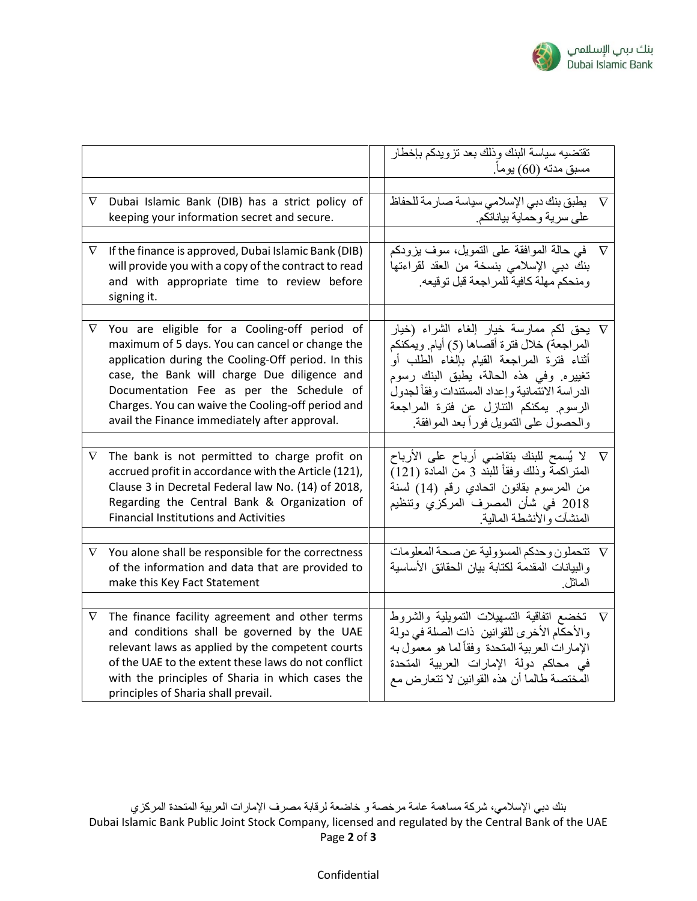

|          |                                                                                                        | تقتضيه سياسة البنك وذلك بعد تزويدكم بإخطار                                                   |          |
|----------|--------------------------------------------------------------------------------------------------------|----------------------------------------------------------------------------------------------|----------|
|          |                                                                                                        | مسبق مدته (60) يوماً.                                                                        |          |
|          |                                                                                                        |                                                                                              |          |
| $\nabla$ | Dubai Islamic Bank (DIB) has a strict policy of<br>keeping your information secret and secure.         | يطبق بنك دبي الإسلامي سياسة صارمة للحفاظ                                                     | $\nabla$ |
|          |                                                                                                        | على سرية وحماية بياناتكم.                                                                    |          |
| $\nabla$ | If the finance is approved, Dubai Islamic Bank (DIB)                                                   | في حالة الموافقة على التمويل، سوف يزودكم                                                     | $\nabla$ |
|          | will provide you with a copy of the contract to read                                                   | بنك دبي الإسلامي بنسخة من العقد لقراءتها                                                     |          |
|          | and with appropriate time to review before                                                             | ومنحكم مهلة كافية للمر اجعة قبل توقيعه.                                                      |          |
|          | signing it.                                                                                            |                                                                                              |          |
|          |                                                                                                        |                                                                                              |          |
| $\nabla$ | You are eligible for a Cooling-off period of                                                           | √ يحق لكم ممارسة خيار إلغاء الشراء (خيار                                                     |          |
|          | maximum of 5 days. You can cancel or change the                                                        | المراجعة) خلال فترة أقصاها (5) أيام. ويمكنكم                                                 |          |
|          | application during the Cooling-Off period. In this                                                     | أثناء فترة المراجعة القيام بإلغاء الطلب أو                                                   |          |
|          | case, the Bank will charge Due diligence and<br>Documentation Fee as per the Schedule of               | تغييره. وفي هذه الحالة، يطبق البنك رسوم<br>الدر اسة الائتمانية وإعداد المستندات وفقأ لجدول   |          |
|          | Charges. You can waive the Cooling-off period and                                                      | الرسوم. يمكنكم التنازل عن فترة المراجعة                                                      |          |
|          | avail the Finance immediately after approval.                                                          | والحصول على التمويل فوراً بعد الموافقة.                                                      |          |
|          |                                                                                                        |                                                                                              |          |
| $\nabla$ | The bank is not permitted to charge profit on                                                          |                                                                                              |          |
|          | accrued profit in accordance with the Article (121),                                                   | المنز اكمة وذلك وفقاً للبند 3 من المادة (121)                                                |          |
|          | Clause 3 in Decretal Federal law No. (14) of 2018,                                                     | من المرسوم بقانون اتحادي رقم (14) لسنة                                                       |          |
|          | Regarding the Central Bank & Organization of                                                           | 2018 في شأن المصرف المركزي وتنظيم                                                            |          |
|          | <b>Financial Institutions and Activities</b>                                                           | المنشآت والأنشطة المالية.                                                                    |          |
|          |                                                                                                        |                                                                                              |          |
| $\nabla$ | You alone shall be responsible for the correctness<br>of the information and data that are provided to | V تتحملون وحدكم المسؤولية عن صحة المعلومات<br>والبيانات المقدمة لكتابة بيان الحقائق الأساسية |          |
|          | make this Key Fact Statement                                                                           | الماثل                                                                                       |          |
|          |                                                                                                        |                                                                                              |          |
| $\nabla$ | The finance facility agreement and other terms                                                         | V   تخضع اتفاقية التسهيلات التمويلية والشروط                                                 |          |
|          | and conditions shall be governed by the UAE                                                            | والأحكام الأخرى للقوانين  ذات الصلة في دولة                                                  |          |
|          | relevant laws as applied by the competent courts                                                       | الإمار ات العربية المتحدة وفقاً لما هو معمول به                                              |          |
|          | of the UAE to the extent these laws do not conflict                                                    | في محاكم دولة الإمارات العربية المتحدة                                                       |          |
|          | with the principles of Sharia in which cases the                                                       | المختصة طالما أن هذه القوانين لا تتعارض مع                                                   |          |
|          | principles of Sharia shall prevail.                                                                    |                                                                                              |          |